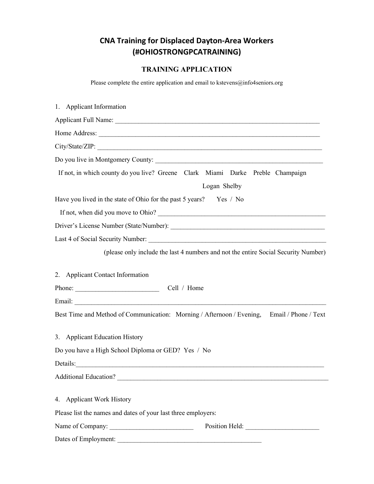## CNA Training for Displaced Dayton-Area Workers (#OHIOSTRONGPCATRAINING)

## TRAINING APPLICATION

Please complete the entire application and email to kstevens@info4seniors.org

| 1. Applicant Information                                                                                                                                                                                                                                                                                                                                                                                                    |
|-----------------------------------------------------------------------------------------------------------------------------------------------------------------------------------------------------------------------------------------------------------------------------------------------------------------------------------------------------------------------------------------------------------------------------|
|                                                                                                                                                                                                                                                                                                                                                                                                                             |
|                                                                                                                                                                                                                                                                                                                                                                                                                             |
| City/State/ZIP:                                                                                                                                                                                                                                                                                                                                                                                                             |
|                                                                                                                                                                                                                                                                                                                                                                                                                             |
| If not, in which county do you live? Greene Clark Miami Darke Preble Champaign                                                                                                                                                                                                                                                                                                                                              |
| Logan Shelby                                                                                                                                                                                                                                                                                                                                                                                                                |
| Have you lived in the state of Ohio for the past 5 years? Yes / No                                                                                                                                                                                                                                                                                                                                                          |
|                                                                                                                                                                                                                                                                                                                                                                                                                             |
|                                                                                                                                                                                                                                                                                                                                                                                                                             |
|                                                                                                                                                                                                                                                                                                                                                                                                                             |
| (please only include the last 4 numbers and not the entire Social Security Number)                                                                                                                                                                                                                                                                                                                                          |
| 2. Applicant Contact Information                                                                                                                                                                                                                                                                                                                                                                                            |
| Phone: $\frac{1}{\sqrt{1-\frac{1}{2}}\sqrt{1-\frac{1}{2}}\sqrt{1-\frac{1}{2}}\sqrt{1-\frac{1}{2}}\sqrt{1-\frac{1}{2}}\sqrt{1-\frac{1}{2}}\sqrt{1-\frac{1}{2}}\sqrt{1-\frac{1}{2}}\sqrt{1-\frac{1}{2}}\sqrt{1-\frac{1}{2}}\sqrt{1-\frac{1}{2}}\sqrt{1-\frac{1}{2}}\sqrt{1-\frac{1}{2}}\sqrt{1-\frac{1}{2}}\sqrt{1-\frac{1}{2}}\sqrt{1-\frac{1}{2}}\sqrt{1-\frac{1}{2}}\sqrt{1-\frac{1}{2}}\sqrt{1-\frac{1}{2$<br>Cell / Home |
|                                                                                                                                                                                                                                                                                                                                                                                                                             |
| Best Time and Method of Communication: Morning / Afternoon / Evening,<br>Email / Phone / Text                                                                                                                                                                                                                                                                                                                               |
| 3. Applicant Education History                                                                                                                                                                                                                                                                                                                                                                                              |
| Do you have a High School Diploma or GED? Yes / No                                                                                                                                                                                                                                                                                                                                                                          |
|                                                                                                                                                                                                                                                                                                                                                                                                                             |
|                                                                                                                                                                                                                                                                                                                                                                                                                             |
| 4. Applicant Work History                                                                                                                                                                                                                                                                                                                                                                                                   |
| Please list the names and dates of your last three employers:                                                                                                                                                                                                                                                                                                                                                               |
| Name of Company:                                                                                                                                                                                                                                                                                                                                                                                                            |
| Dates of Employment:<br><u> 1980 - John Stein, Amerikaansk kanton en </u>                                                                                                                                                                                                                                                                                                                                                   |